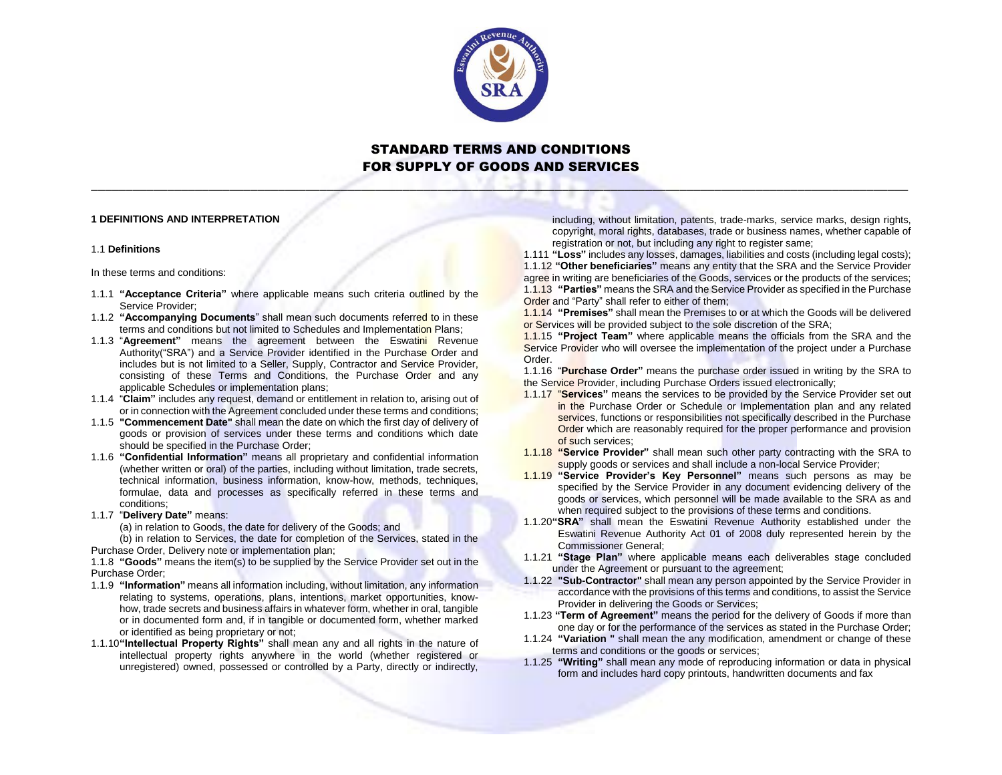

\_\_\_\_\_\_\_\_\_\_\_\_\_\_\_\_\_\_\_\_\_\_\_\_\_\_\_\_\_\_\_\_\_\_\_\_\_\_\_\_\_\_\_\_\_\_\_\_\_\_\_\_\_\_\_\_\_\_\_\_\_\_\_\_\_\_\_\_\_\_\_\_\_\_\_\_\_\_\_\_\_\_\_\_\_\_\_\_\_\_\_\_\_\_\_\_\_\_\_\_\_\_\_\_\_\_\_\_\_\_\_\_\_\_\_\_\_\_

## **1 DEFINITIONS AND INTERPRETATION**

#### 1.1 **Definitions**

In these terms and conditions:

- 1.1.1 **"Acceptance Criteria"** where applicable means such criteria outlined by the Service Provider;
- 1.1.2 **"Accompanying Documents**" shall mean such documents referred to in these terms and conditions but not limited to Schedules and Implementation Plans;
- 1.1.3 "**Agreement"** means the agreement between the Eswatini Revenue Authority("SRA") and a Service Provider identified in the Purchase Order and includes but is not limited to a Seller, Supply, Contractor and Service Provider, consisting of these Terms and Conditions, the Purchase Order and any applicable Schedules or implementation plans;
- 1.1.4 "**Claim"** includes any request, demand or entitlement in relation to, arising out of or in connection with the Agreement concluded under these terms and conditions;
- 1.1.5 **"Commencement Date"** shall mean the date on which the first day of delivery of goods or provision of services under these terms and conditions which date should be specified in the Purchase Order;
- 1.1.6 **"Confidential Information"** means all proprietary and confidential information (whether written or oral) of the parties, including without limitation, trade secrets, technical information, business information, know-how, methods, techniques, formulae, data and processes as specifically referred in these terms and conditions;
- 1.1.7 "**Delivery Date"** means:

(a) in relation to Goods, the date for delivery of the Goods; and

(b) in relation to Services, the date for completion of the Services, stated in the Purchase Order, Delivery note or implementation plan;

1.1.8 **"Goods"** means the item(s) to be supplied by the Service Provider set out in the Purchase Order;

- 1.1.9 **"Information"** means all information including, without limitation, any information relating to systems, operations, plans, intentions, market opportunities, knowhow, trade secrets and business affairs in whatever form, whether in oral, tangible or in documented form and, if in tangible or documented form, whether marked or identified as being proprietary or not;
- 1.1.10**"Intellectual Property Rights"** shall mean any and all rights in the nature of intellectual property rights anywhere in the world (whether registered or unregistered) owned, possessed or controlled by a Party, directly or indirectly,

including, without limitation, patents, trade-marks, service marks, design rights, copyright, moral rights, databases, trade or business names, whether capable of registration or not, but including any right to register same;

1.111 **"Loss"** includes any losses, damages, liabilities and costs (including legal costs); 1.1.12 **"Other beneficiaries"** means any entity that the SRA and the Service Provider agree in writing are beneficiaries of the Goods, services or the products of the services; 1.1.13 **"Parties"** means the SRA and the Service Provider as specified in the Purchase Order and "Party" shall refer to either of them;

1.1.14 **"Premises"** shall mean the Premises to or at which the Goods will be delivered or Services will be provided subject to the sole discretion of the SRA;

1.1.15 **"Project Team"** where applicable means the officials from the SRA and the Service Provider who will oversee the implementation of the project under a Purchase Order.

1.1.16 "**Purchase Order"** means the purchase order issued in writing by the SRA to the Service Provider, including Purchase Orders issued electronically;

- 1.1.17 "**Services"** means the services to be provided by the Service Provider set out in the Purchase Order or Schedule or Implementation plan and any related services, functions or responsibilities not specifically described in the Purchase Order which are reasonably required for the proper performance and provision of such services;
- 1.1.18 **"Service Provider"** shall mean such other party contracting with the SRA to supply goods or services and shall include a non-local Service Provider:
- 1.1.19 **"Service Provider's Key Personnel"** means such persons as may be specified by the Service Provider in any document evidencing delivery of the goods or services, which personnel will be made available to the SRA as and when required subject to the provisions of these terms and conditions.
- 1.1.20**"SRA"** shall mean the Eswatini Revenue Authority established under the Eswatini Revenue Authority Act 01 of 2008 duly represented herein by the Commissioner General;
- 1.1.21 **"Stage Plan"** where applicable means each deliverables stage concluded under the Agreement or pursuant to the agreement;
- 1.1.22 **"Sub-Contractor"** shall mean any person appointed by the Service Provider in accordance with the provisions of this terms and conditions, to assist the Service Provider in delivering the Goods or Services;
- 1.1.23 **"Term of Agreement"** means the period for the delivery of Goods if more than one day or for the performance of the services as stated in the Purchase Order;
- 1.1.24 **"Variation "** shall mean the any modification, amendment or change of these terms and conditions or the goods or services;
- 1.1.25 **"Writing"** shall mean any mode of reproducing information or data in physical form and includes hard copy printouts, handwritten documents and fax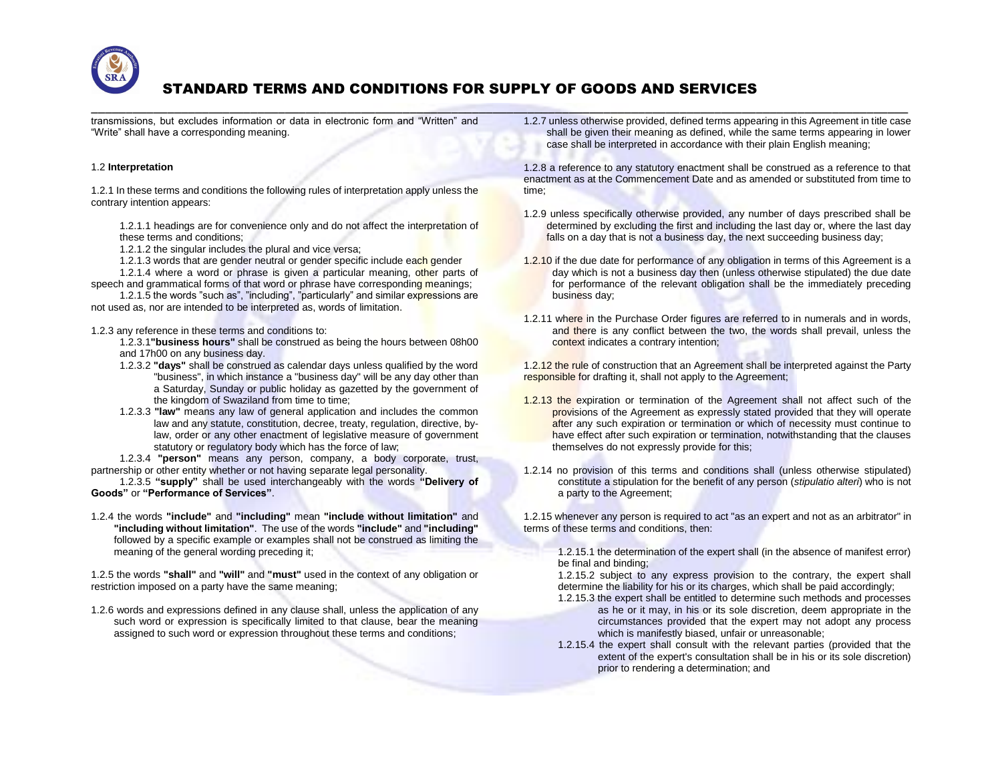

\_\_\_\_\_\_\_\_\_\_\_\_\_\_\_\_\_\_\_\_\_\_\_\_\_\_\_\_\_\_\_\_\_\_\_\_\_\_\_\_\_\_\_\_\_\_\_\_\_\_\_\_\_\_\_\_\_\_\_\_\_\_\_\_\_\_\_\_\_\_\_\_\_\_\_\_\_\_\_\_\_\_\_\_\_\_\_\_\_\_\_\_\_\_\_\_\_\_\_\_\_\_\_\_\_\_\_\_\_\_\_\_\_\_\_\_\_\_ transmissions, but excludes information or data in electronic form and "Written" and "Write" shall have a corresponding meaning.

## 1.2 **Interpretation**

1.2.1 In these terms and conditions the following rules of interpretation apply unless the contrary intention appears:

1.2.1.1 headings are for convenience only and do not affect the interpretation of these terms and conditions;

1.2.1.2 the singular includes the plural and vice versa;

1.2.1.3 words that are gender neutral or gender specific include each gender

1.2.1.4 where a word or phrase is given a particular meaning, other parts of speech and grammatical forms of that word or phrase have corresponding meanings;

1.2.1.5 the words "such as", "including", "particularly" and similar expressions are not used as, nor are intended to be interpreted as, words of limitation.

1.2.3 any reference in these terms and conditions to:

1.2.3.1**"business hours"** shall be construed as being the hours between 08h00 and 17h00 on any business day.

- 1.2.3.2 **"days"** shall be construed as calendar days unless qualified by the word "business", in which instance a "business day" will be any day other than a Saturday, Sunday or public holiday as gazetted by the government of the kingdom of Swaziland from time to time;
- 1.2.3.3 **"law"** means any law of general application and includes the common law and any statute, constitution, decree, treaty, regulation, directive, bylaw, order or any other enactment of legislative measure of government statutory or regulatory body which has the force of law;

1.2.3.4 **"person"** means any person, company, a body corporate, trust, partnership or other entity whether or not having separate legal personality.

1.2.3.5 **"supply"** shall be used interchangeably with the words **"Delivery of Goods"** or **"Performance of Services"**.

1.2.4 the words **"include"** and **"including"** mean **"include without limitation"** and **"including without limitation"**. The use of the words **"include"** and **"including"**  followed by a specific example or examples shall not be construed as limiting the meaning of the general wording preceding it;

1.2.5 the words **"shall"** and **"will"** and **"must"** used in the context of any obligation or restriction imposed on a party have the same meaning;

1.2.6 words and expressions defined in any clause shall, unless the application of any such word or expression is specifically limited to that clause, bear the meaning assigned to such word or expression throughout these terms and conditions;

1.2.7 unless otherwise provided, defined terms appearing in this Agreement in title case shall be given their meaning as defined, while the same terms appearing in lower case shall be interpreted in accordance with their plain English meaning;

1.2.8 a reference to any statutory enactment shall be construed as a reference to that enactment as at the Commencement Date and as amended or substituted from time to time;

- 1.2.9 unless specifically otherwise provided, any number of days prescribed shall be determined by excluding the first and including the last day or, where the last day falls on a day that is not a business day, the next succeeding business day;
- 1.2.10 if the due date for performance of any obligation in terms of this Agreement is a day which is not a business day then (unless otherwise stipulated) the due date for performance of the relevant obligation shall be the immediately preceding business day;
- 1.2.11 where in the Purchase Order figures are referred to in numerals and in words, and there is any conflict between the two, the words shall prevail, unless the context indicates a contrary intention;

1.2.12 the rule of construction that an Agreement shall be interpreted against the Party responsible for drafting it, shall not apply to the Agreement;

- 1.2.13 the expiration or termination of the Agreement shall not affect such of the provisions of the Agreement as expressly stated provided that they will operate after any such expiration or termination or which of necessity must continue to have effect after such expiration or termination, notwithstanding that the clauses themselves do not expressly provide for this;
- 1.2.14 no provision of this terms and conditions shall (unless otherwise stipulated) constitute a stipulation for the benefit of any person (*stipulatio alteri*) who is not a party to the Agreement;

1.2.15 whenever any person is required to act "as an expert and not as an arbitrator" in terms of these terms and conditions, then:

1.2.15.1 the determination of the expert shall (in the absence of manifest error) be final and binding;

1.2.15.2 subject to any express provision to the contrary, the expert shall determine the liability for his or its charges, which shall be paid accordingly;

- 1.2.15.3 the expert shall be entitled to determine such methods and processes as he or it may, in his or its sole discretion, deem appropriate in the circumstances provided that the expert may not adopt any process which is manifestly biased, unfair or unreasonable;
- 1.2.15.4 the expert shall consult with the relevant parties (provided that the extent of the expert's consultation shall be in his or its sole discretion) prior to rendering a determination; and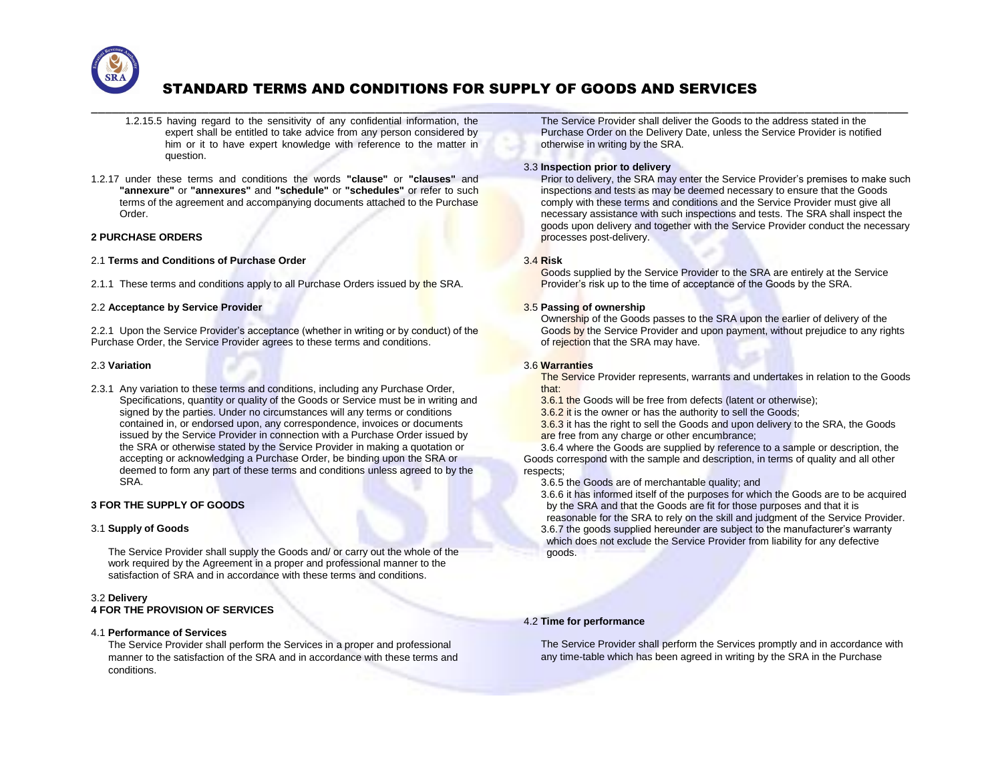

\_\_\_\_\_\_\_\_\_\_\_\_\_\_\_\_\_\_\_\_\_\_\_\_\_\_\_\_\_\_\_\_\_\_\_\_\_\_\_\_\_\_\_\_\_\_\_\_\_\_\_\_\_\_\_\_\_\_\_\_\_\_\_\_\_\_\_\_\_\_\_\_\_\_\_\_\_\_\_\_\_\_\_\_\_\_\_\_\_\_\_\_\_\_\_\_\_\_\_\_\_\_\_\_\_\_\_\_\_\_\_\_\_\_\_\_\_\_

- 1.2.15.5 having regard to the sensitivity of any confidential information, the expert shall be entitled to take advice from any person considered by him or it to have expert knowledge with reference to the matter in question.
- 1.2.17 under these terms and conditions the words **"clause"** or **"clauses"** and **"annexure"** or **"annexures"** and **"schedule"** or **"schedules"** or refer to such terms of the agreement and accompanying documents attached to the Purchase Order.

### **2 PURCHASE ORDERS**

- 2.1 **Terms and Conditions of Purchase Order**
- 2.1.1 These terms and conditions apply to all Purchase Orders issued by the SRA.

### 2.2 **Acceptance by Service Provider**

2.2.1 Upon the Service Provider's acceptance (whether in writing or by conduct) of the Purchase Order, the Service Provider agrees to these terms and conditions.

### 2.3 **Variation**

2.3.1 Any variation to these terms and conditions, including any Purchase Order, Specifications, quantity or quality of the Goods or Service must be in writing and signed by the parties. Under no circumstances will any terms or conditions contained in, or endorsed upon, any correspondence, invoices or documents issued by the Service Provider in connection with a Purchase Order issued by the SRA or otherwise stated by the Service Provider in making a quotation or accepting or acknowledging a Purchase Order, be binding upon the SRA or deemed to form any part of these terms and conditions unless agreed to by the SRA.

## **3 FOR THE SUPPLY OF GOODS**

## 3.1 **Supply of Goods**

The Service Provider shall supply the Goods and/ or carry out the whole of the work required by the Agreement in a proper and professional manner to the satisfaction of SRA and in accordance with these terms and conditions.

## 3.2 **Delivery**

# **4 FOR THE PROVISION OF SERVICES**

#### 4.1 **Performance of Services**

The Service Provider shall perform the Services in a proper and professional manner to the satisfaction of the SRA and in accordance with these terms and conditions.

The Service Provider shall deliver the Goods to the address stated in the Purchase Order on the Delivery Date, unless the Service Provider is notified otherwise in writing by the SRA.

## 3.3 **Inspection prior to delivery**

Prior to delivery, the SRA may enter the Service Provider's premises to make such inspections and tests as may be deemed necessary to ensure that the Goods comply with these terms and conditions and the Service Provider must give all necessary assistance with such inspections and tests. The SRA shall inspect the goods upon delivery and together with the Service Provider conduct the necessary processes post-delivery.

## 3.4 **Risk**

Goods supplied by the Service Provider to the SRA are entirely at the Service Provider's risk up to the time of acceptance of the Goods by the SRA.

## 3.5 **Passing of ownership**

Ownership of the Goods passes to the SRA upon the earlier of delivery of the Goods by the Service Provider and upon payment, without prejudice to any rights of rejection that the SRA may have.

### 3.6 **Warranties**

The Service Provider represents, warrants and undertakes in relation to the Goods that:

3.6.1 the Goods will be free from defects (latent or otherwise);

3.6.2 it is the owner or has the authority to sell the Goods;

3.6.3 it has the right to sell the Goods and upon delivery to the SRA, the Goods are free from any charge or other encumbrance:

3.6.4 where the Goods are supplied by reference to a sample or description, the Goods correspond with the sample and description, in terms of quality and all other respects;

3.6.5 the Goods are of merchantable quality; and

3.6.6 it has informed itself of the purposes for which the Goods are to be acquired by the SRA and that the Goods are fit for those purposes and that it is reasonable for the SRA to rely on the skill and judgment of the Service Provider. 3.6.7 the goods supplied hereunder are subject to the manufacturer's warranty which does not exclude the Service Provider from liability for any defective goods.

#### 4.2 **Time for performance**

The Service Provider shall perform the Services promptly and in accordance with any time-table which has been agreed in writing by the SRA in the Purchase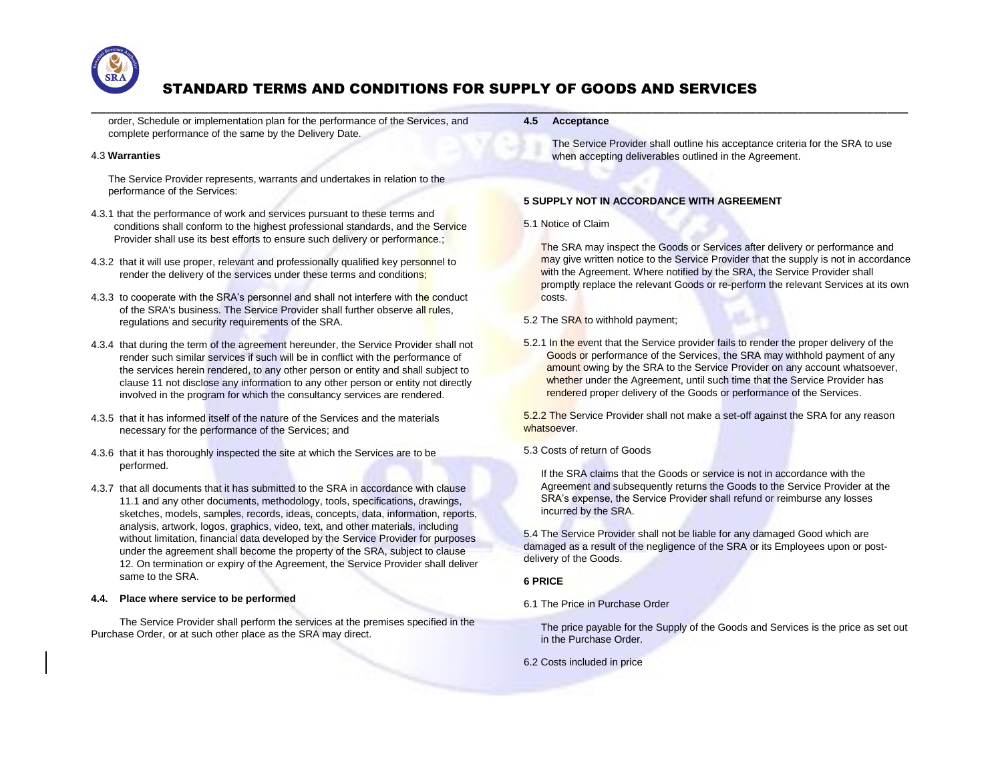

\_\_\_\_\_\_\_\_\_\_\_\_\_\_\_\_\_\_\_\_\_\_\_\_\_\_\_\_\_\_\_\_\_\_\_\_\_\_\_\_\_\_\_\_\_\_\_\_\_\_\_\_\_\_\_\_\_\_\_\_\_\_\_\_\_\_\_\_\_\_\_\_\_\_\_\_\_\_\_\_\_\_\_\_\_\_\_\_\_\_\_\_\_\_\_\_\_\_\_\_\_\_\_\_\_\_\_\_\_\_\_\_\_\_\_\_\_\_

order, Schedule or implementation plan for the performance of the Services, and complete performance of the same by the Delivery Date.

## 4.3 **Warranties**

The Service Provider represents, warrants and undertakes in relation to the performance of the Services:

- 4.3.1 that the performance of work and services pursuant to these terms and conditions shall conform to the highest professional standards, and the Service Provider shall use its best efforts to ensure such delivery or performance.;
- 4.3.2 that it will use proper, relevant and professionally qualified key personnel to render the delivery of the services under these terms and conditions;
- 4.3.3 to cooperate with the SRA's personnel and shall not interfere with the conduct of the SRA's business. The Service Provider shall further observe all rules. regulations and security requirements of the SRA.
- 4.3.4 that during the term of the agreement hereunder, the Service Provider shall not render such similar services if such will be in conflict with the performance of the services herein rendered, to any other person or entity and shall subject to clause 11 not disclose any information to any other person or entity not directly involved in the program for which the consultancy services are rendered.
- 4.3.5 that it has informed itself of the nature of the Services and the materials necessary for the performance of the Services; and
- 4.3.6 that it has thoroughly inspected the site at which the Services are to be performed.
- 4.3.7 that all documents that it has submitted to the SRA in accordance with clause 11.1 and any other documents, methodology, tools, specifications, drawings, sketches, models, samples, records, ideas, concepts, data, information, reports, analysis, artwork, logos, graphics, video, text, and other materials, including without limitation, financial data developed by the Service Provider for purposes under the agreement shall become the property of the SRA, subject to clause 12. On termination or expiry of the Agreement, the Service Provider shall deliver same to the SRA.

#### **4.4. Place where service to be performed**

The Service Provider shall perform the services at the premises specified in the Purchase Order, or at such other place as the SRA may direct.

**4.5 Acceptance**

The Service Provider shall outline his acceptance criteria for the SRA to use when accepting deliverables outlined in the Agreement.

## **5 SUPPLY NOT IN ACCORDANCE WITH AGREEMENT**

## 5.1 Notice of Claim

The SRA may inspect the Goods or Services after delivery or performance and may give written notice to the Service Provider that the supply is not in accordance with the Agreement. Where notified by the SRA, the Service Provider shall promptly replace the relevant Goods or re-perform the relevant Services at its own costs.

- 5.2 The SRA to withhold payment;
- 5.2.1 In the event that the Service provider fails to render the proper delivery of the Goods or performance of the Services, the SRA may withhold payment of any amount owing by the SRA to the Service Provider on any account whatsoever, whether under the Agreement, until such time that the Service Provider has rendered proper delivery of the Goods or performance of the Services.

5.2.2 The Service Provider shall not make a set-off against the SRA for any reason whatsoever.

# 5.3 Costs of return of Goods

If the SRA claims that the Goods or service is not in accordance with the Agreement and subsequently returns the Goods to the Service Provider at the SRA's expense, the Service Provider shall refund or reimburse any losses incurred by the SRA.

5.4 The Service Provider shall not be liable for any damaged Good which are damaged as a result of the negligence of the SRA or its Employees upon or postdelivery of the Goods.

## **6 PRICE**

6.1 The Price in Purchase Order

The price payable for the Supply of the Goods and Services is the price as set out in the Purchase Order.

6.2 Costs included in price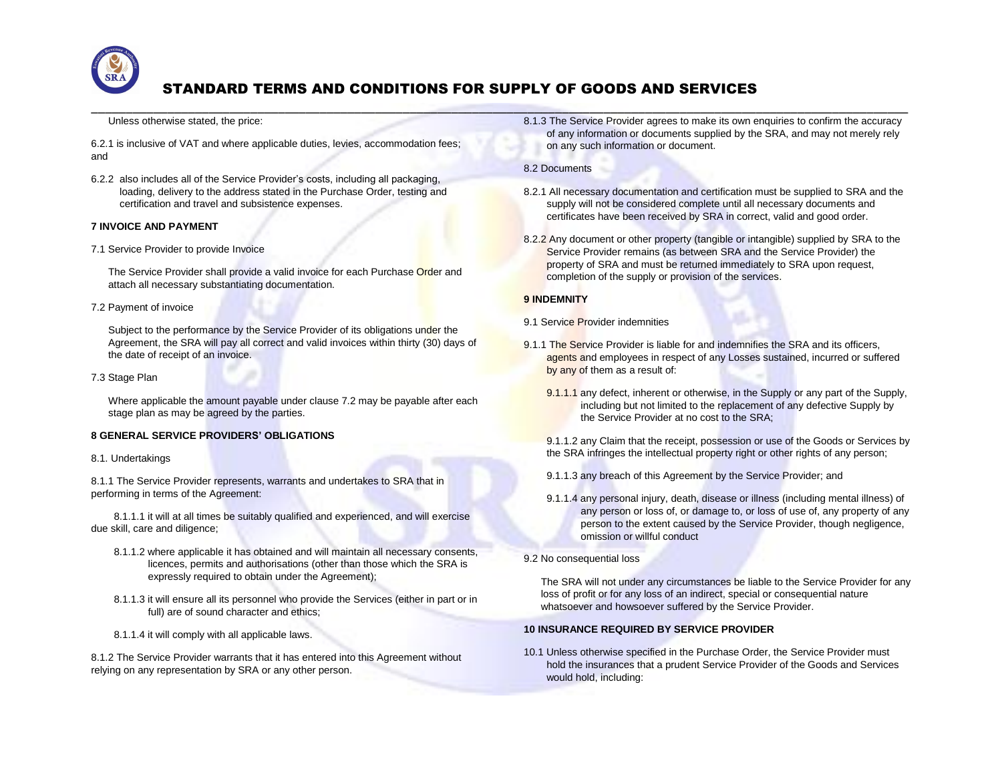

\_\_\_\_\_\_\_\_\_\_\_\_\_\_\_\_\_\_\_\_\_\_\_\_\_\_\_\_\_\_\_\_\_\_\_\_\_\_\_\_\_\_\_\_\_\_\_\_\_\_\_\_\_\_\_\_\_\_\_\_\_\_\_\_\_\_\_\_\_\_\_\_\_\_\_\_\_\_\_\_\_\_\_\_\_\_\_\_\_\_\_\_\_\_\_\_\_\_\_\_\_\_\_\_\_\_\_\_\_\_\_\_\_\_\_\_\_\_

## Unless otherwise stated, the price:

6.2.1 is inclusive of VAT and where applicable duties, levies, accommodation fees; and

6.2.2 also includes all of the Service Provider's costs, including all packaging, loading, delivery to the address stated in the Purchase Order, testing and certification and travel and subsistence expenses.

## **7 INVOICE AND PAYMENT**

7.1 Service Provider to provide Invoice

The Service Provider shall provide a valid invoice for each Purchase Order and attach all necessary substantiating documentation.

#### 7.2 Payment of invoice

Subject to the performance by the Service Provider of its obligations under the Agreement, the SRA will pay all correct and valid invoices within thirty (30) days of the date of receipt of an invoice.

#### 7.3 Stage Plan

Where applicable the amount payable under clause 7.2 may be payable after each stage plan as may be agreed by the parties.

## **8 GENERAL SERVICE PROVIDERS' OBLIGATIONS**

#### 8.1. Undertakings

8.1.1 The Service Provider represents, warrants and undertakes to SRA that in performing in terms of the Agreement:

8.1.1.1 it will at all times be suitably qualified and experienced, and will exercise due skill, care and diligence;

- 8.1.1.2 where applicable it has obtained and will maintain all necessary consents, licences, permits and authorisations (other than those which the SRA is expressly required to obtain under the Agreement);
- 8.1.1.3 it will ensure all its personnel who provide the Services (either in part or in full) are of sound character and ethics;
- 8.1.1.4 it will comply with all applicable laws.

8.1.2 The Service Provider warrants that it has entered into this Agreement without relying on any representation by SRA or any other person.

8.1.3 The Service Provider agrees to make its own enquiries to confirm the accuracy of any information or documents supplied by the SRA, and may not merely rely on any such information or document.

## 8.2 Documents

- 8.2.1 All necessary documentation and certification must be supplied to SRA and the supply will not be considered complete until all necessary documents and certificates have been received by SRA in correct, valid and good order.
- 8.2.2 Any document or other property (tangible or intangible) supplied by SRA to the Service Provider remains (as between SRA and the Service Provider) the property of SRA and must be returned immediately to SRA upon request, completion of the supply or provision of the services.

## **9 INDEMNITY**

- 9.1 Service Provider indemnities
- 9.1.1 The Service Provider is liable for and indemnifies the SRA and its officers, agents and employees in respect of any Losses sustained, incurred or suffered by any of them as a result of:
	- 9.1.1.1 any defect, inherent or otherwise, in the Supply or any part of the Supply, including but not limited to the replacement of any defective Supply by the Service Provider at no cost to the SRA;
	- 9.1.1.2 any Claim that the receipt, possession or use of the Goods or Services by the SRA infringes the intellectual property right or other rights of any person;
	- 9.1.1.3 any breach of this Agreement by the Service Provider; and
	- 9.1.1.4 any personal injury, death, disease or illness (including mental illness) of any person or loss of, or damage to, or loss of use of, any property of any person to the extent caused by the Service Provider, though negligence, omission or willful conduct
- 9.2 No consequential loss

The SRA will not under any circumstances be liable to the Service Provider for any loss of profit or for any loss of an indirect, special or consequential nature whatsoever and howsoever suffered by the Service Provider.

#### **10 INSURANCE REQUIRED BY SERVICE PROVIDER**

10.1 Unless otherwise specified in the Purchase Order, the Service Provider must hold the insurances that a prudent Service Provider of the Goods and Services would hold, including: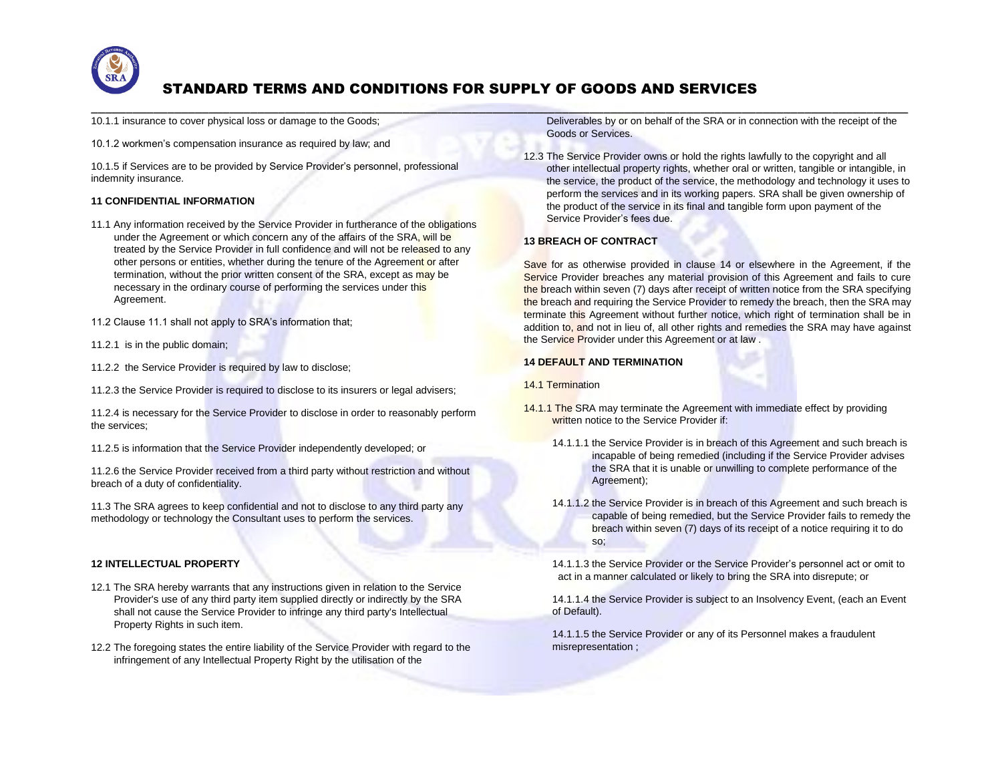

\_\_\_\_\_\_\_\_\_\_\_\_\_\_\_\_\_\_\_\_\_\_\_\_\_\_\_\_\_\_\_\_\_\_\_\_\_\_\_\_\_\_\_\_\_\_\_\_\_\_\_\_\_\_\_\_\_\_\_\_\_\_\_\_\_\_\_\_\_\_\_\_\_\_\_\_\_\_\_\_\_\_\_\_\_\_\_\_\_\_\_\_\_\_\_\_\_\_\_\_\_\_\_\_\_\_\_\_\_\_\_\_\_\_\_\_\_\_

10.1.1 insurance to cover physical loss or damage to the Goods;

10.1.2 workmen's compensation insurance as required by law; and

10.1.5 if Services are to be provided by Service Provider's personnel, professional indemnity insurance.

# **11 CONFIDENTIAL INFORMATION**

- 11.1 Any information received by the Service Provider in furtherance of the obligations under the Agreement or which concern any of the affairs of the SRA, will be treated by the Service Provider in full confidence and will not be released to any other persons or entities, whether during the tenure of the Agreement or after termination, without the prior written consent of the SRA, except as may be necessary in the ordinary course of performing the services under this Agreement.
- 11.2 Clause 11.1 shall not apply to SRA's information that;
- 11.2.1 is in the public domain;
- 11.2.2 the Service Provider is required by law to disclose;
- 11.2.3 the Service Provider is required to disclose to its insurers or legal advisers;

11.2.4 is necessary for the Service Provider to disclose in order to reasonably perform the services;

11.2.5 is information that the Service Provider independently developed; or

11.2.6 the Service Provider received from a third party without restriction and without breach of a duty of confidentiality.

11.3 The SRA agrees to keep confidential and not to disclose to any third party any methodology or technology the Consultant uses to perform the services.

# **12 INTELLECTUAL PROPERTY**

- 12.1 The SRA hereby warrants that any instructions given in relation to the Service Provider's use of any third party item supplied directly or indirectly by the SRA shall not cause the Service Provider to infringe any third party's Intellectual Property Rights in such item.
- 12.2 The foregoing states the entire liability of the Service Provider with regard to the infringement of any Intellectual Property Right by the utilisation of the

Deliverables by or on behalf of the SRA or in connection with the receipt of the Goods or Services.

12.3 The Service Provider owns or hold the rights lawfully to the copyright and all other intellectual property rights, whether oral or written, tangible or intangible, in the service, the product of the service, the methodology and technology it uses to perform the services and in its working papers. SRA shall be given ownership of the product of the service in its final and tangible form upon payment of the Service Provider's fees due.

## **13 BREACH OF CONTRACT**

Save for as otherwise provided in clause 14 or elsewhere in the Agreement, if the Service Provider breaches any material provision of this Agreement and fails to cure the breach within seven (7) days after receipt of written notice from the SRA specifying the breach and requiring the Service Provider to remedy the breach, then the SRA may terminate this Agreement without further notice, which right of termination shall be in addition to, and not in lieu of, all other rights and remedies the SRA may have against the Service Provider under this Agreement or at law .

## **14 DEFAULT AND TERMINATION**

14.1 Termination

- 14.1.1 The SRA may terminate the Agreement with immediate effect by providing written notice to the Service Provider if:
	- 14.1.1.1 the Service Provider is in breach of this Agreement and such breach is incapable of being remedied (including if the Service Provider advises the SRA that it is unable or unwilling to complete performance of the Agreement);
	- 14.1.1.2 the Service Provider is in breach of this Agreement and such breach is capable of being remedied, but the Service Provider fails to remedy the breach within seven (7) days of its receipt of a notice requiring it to do so;

14.1.1.3 the Service Provider or the Service Provider's personnel act or omit to act in a manner calculated or likely to bring the SRA into disrepute; or

14.1.1.4 the Service Provider is subject to an Insolvency Event, (each an Event of Default).

14.1.1.5 the Service Provider or any of its Personnel makes a fraudulent misrepresentation ;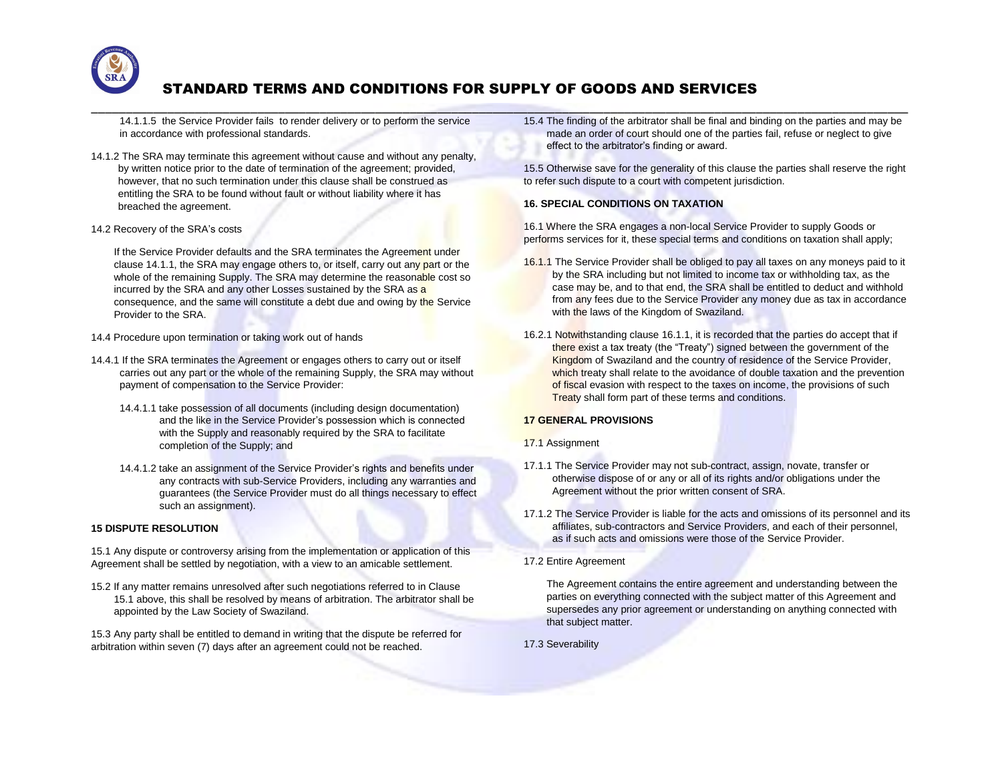

\_\_\_\_\_\_\_\_\_\_\_\_\_\_\_\_\_\_\_\_\_\_\_\_\_\_\_\_\_\_\_\_\_\_\_\_\_\_\_\_\_\_\_\_\_\_\_\_\_\_\_\_\_\_\_\_\_\_\_\_\_\_\_\_\_\_\_\_\_\_\_\_\_\_\_\_\_\_\_\_\_\_\_\_\_\_\_\_\_\_\_\_\_\_\_\_\_\_\_\_\_\_\_\_\_\_\_\_\_\_\_\_\_\_\_\_\_\_ 14.1.1.5 the Service Provider fails to render delivery or to perform the service in accordance with professional standards.

- 14.1.2 The SRA may terminate this agreement without cause and without any penalty, by written notice prior to the date of termination of the agreement; provided, however, that no such termination under this clause shall be construed as entitling the SRA to be found without fault or without liability where it has breached the agreement.
- 14.2 Recovery of the SRA's costs

If the Service Provider defaults and the SRA terminates the Agreement under clause 14.1.1, the SRA may engage others to, or itself, carry out any part or the whole of the remaining Supply. The SRA may determine the reasonable cost so incurred by the SRA and any other Losses sustained by the SRA as a consequence, and the same will constitute a debt due and owing by the Service Provider to the SRA.

- 14.4 Procedure upon termination or taking work out of hands
- 14.4.1 If the SRA terminates the Agreement or engages others to carry out or itself carries out any part or the whole of the remaining Supply, the SRA may without payment of compensation to the Service Provider:
	- 14.4.1.1 take possession of all documents (including design documentation) and the like in the Service Provider's possession which is connected with the Supply and reasonably required by the SRA to facilitate completion of the Supply; and
	- 14.4.1.2 take an assignment of the Service Provider's rights and benefits under any contracts with sub-Service Providers, including any warranties and guarantees (the Service Provider must do all things necessary to effect such an assignment).

# **15 DISPUTE RESOLUTION**

15.1 Any dispute or controversy arising from the implementation or application of this Agreement shall be settled by negotiation, with a view to an amicable settlement.

15.2 If any matter remains unresolved after such negotiations referred to in Clause 15.1 above, this shall be resolved by means of arbitration. The arbitrator shall be appointed by the Law Society of Swaziland.

15.3 Any party shall be entitled to demand in writing that the dispute be referred for arbitration within seven (7) days after an agreement could not be reached.

15.4 The finding of the arbitrator shall be final and binding on the parties and may be made an order of court should one of the parties fail, refuse or neglect to give effect to the arbitrator's finding or award.

15.5 Otherwise save for the generality of this clause the parties shall reserve the right to refer such dispute to a court with competent jurisdiction.

## **16. SPECIAL CONDITIONS ON TAXATION**

16.1 Where the SRA engages a non-local Service Provider to supply Goods or performs services for it, these special terms and conditions on taxation shall apply;

- 16.1.1 The Service Provider shall be obliged to pay all taxes on any moneys paid to it by the SRA including but not limited to income tax or withholding tax, as the case may be, and to that end, the SRA shall be entitled to deduct and withhold from any fees due to the Service Provider any money due as tax in accordance with the laws of the Kingdom of Swaziland.
- 16.2.1 Notwithstanding clause 16.1.1, it is recorded that the parties do accept that if there exist a tax treaty (the "Treaty") signed between the government of the Kingdom of Swaziland and the country of residence of the Service Provider, which treaty shall relate to the avoidance of double taxation and the prevention of fiscal evasion with respect to the taxes on income, the provisions of such Treaty shall form part of these terms and conditions.

# **17 GENERAL PROVISIONS**

## 17.1 Assignment

- 17.1.1 The Service Provider may not sub-contract, assign, novate, transfer or otherwise dispose of or any or all of its rights and/or obligations under the Agreement without the prior written consent of SRA.
- 17.1.2 The Service Provider is liable for the acts and omissions of its personnel and its affiliates, sub-contractors and Service Providers, and each of their personnel, as if such acts and omissions were those of the Service Provider.
- 17.2 Entire Agreement

The Agreement contains the entire agreement and understanding between the parties on everything connected with the subject matter of this Agreement and supersedes any prior agreement or understanding on anything connected with that subject matter.

17.3 Severability